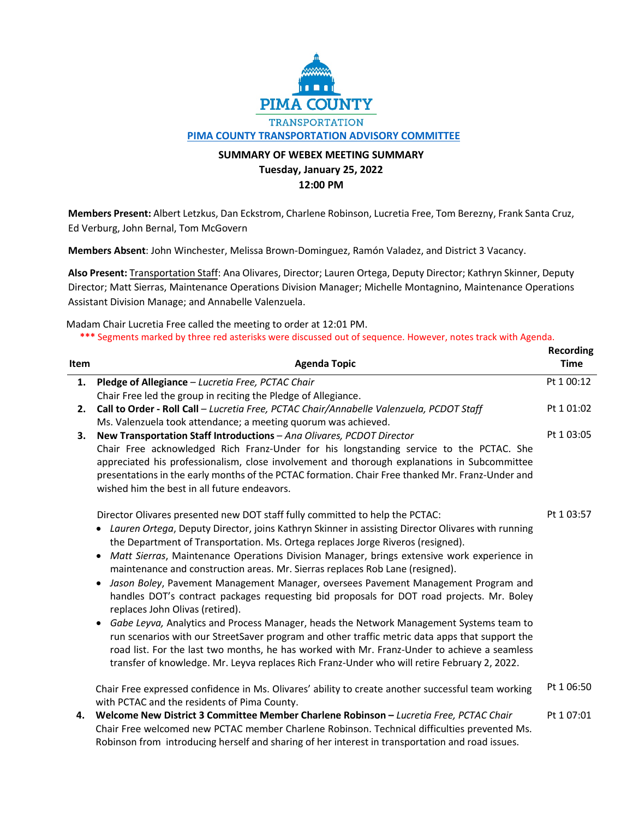

## **SUMMARY OF WEBEX MEETING SUMMARY Tuesday, January 25, 2022 12:00 PM**

**Members Present:** Albert Letzkus, Dan Eckstrom, Charlene Robinson, Lucretia Free, Tom Berezny, Frank Santa Cruz, Ed Verburg, John Bernal, Tom McGovern

**Members Absent**: John Winchester, Melissa Brown-Dominguez, Ramón Valadez, and District 3 Vacancy.

**Also Present:** Transportation Staff: Ana Olivares, Director; Lauren Ortega, Deputy Director; Kathryn Skinner, Deputy Director; Matt Sierras, Maintenance Operations Division Manager; Michelle Montagnino, Maintenance Operations Assistant Division Manage; and Annabelle Valenzuela.

Madam Chair Lucretia Free called the meeting to order at 12:01 PM.

**\*\*\*** Segments marked by three red asterisks were discussed out of sequence. However, notes track with Agenda.

| Item | <b>Agenda Topic</b>                                                                                                                                                                                                                                                                                                                                                                                                                                                                                                                                                                                                                                                                                                                                                                                                                                                                                                                                                                                                                                                                 | <b>Recording</b><br><b>Time</b> |
|------|-------------------------------------------------------------------------------------------------------------------------------------------------------------------------------------------------------------------------------------------------------------------------------------------------------------------------------------------------------------------------------------------------------------------------------------------------------------------------------------------------------------------------------------------------------------------------------------------------------------------------------------------------------------------------------------------------------------------------------------------------------------------------------------------------------------------------------------------------------------------------------------------------------------------------------------------------------------------------------------------------------------------------------------------------------------------------------------|---------------------------------|
| 1.   | Pledge of Allegiance - Lucretia Free, PCTAC Chair<br>Chair Free led the group in reciting the Pledge of Allegiance.                                                                                                                                                                                                                                                                                                                                                                                                                                                                                                                                                                                                                                                                                                                                                                                                                                                                                                                                                                 | Pt 1 00:12                      |
| 2.   | Call to Order - Roll Call - Lucretia Free, PCTAC Chair/Annabelle Valenzuela, PCDOT Staff<br>Ms. Valenzuela took attendance; a meeting quorum was achieved.                                                                                                                                                                                                                                                                                                                                                                                                                                                                                                                                                                                                                                                                                                                                                                                                                                                                                                                          | Pt 1 01:02                      |
| 3.   | New Transportation Staff Introductions - Ana Olivares, PCDOT Director<br>Chair Free acknowledged Rich Franz-Under for his longstanding service to the PCTAC. She<br>appreciated his professionalism, close involvement and thorough explanations in Subcommittee<br>presentations in the early months of the PCTAC formation. Chair Free thanked Mr. Franz-Under and<br>wished him the best in all future endeavors.                                                                                                                                                                                                                                                                                                                                                                                                                                                                                                                                                                                                                                                                | Pt 1 03:05                      |
|      | Director Olivares presented new DOT staff fully committed to help the PCTAC:<br>Lauren Ortega, Deputy Director, joins Kathryn Skinner in assisting Director Olivares with running<br>the Department of Transportation. Ms. Ortega replaces Jorge Riveros (resigned).<br>Matt Sierras, Maintenance Operations Division Manager, brings extensive work experience in<br>maintenance and construction areas. Mr. Sierras replaces Rob Lane (resigned).<br>Jason Boley, Pavement Management Manager, oversees Pavement Management Program and<br>handles DOT's contract packages requesting bid proposals for DOT road projects. Mr. Boley<br>replaces John Olivas (retired).<br>Gabe Leyva, Analytics and Process Manager, heads the Network Management Systems team to<br>$\bullet$<br>run scenarios with our StreetSaver program and other traffic metric data apps that support the<br>road list. For the last two months, he has worked with Mr. Franz-Under to achieve a seamless<br>transfer of knowledge. Mr. Leyva replaces Rich Franz-Under who will retire February 2, 2022. | Pt 1 03:57                      |
|      | Chair Free expressed confidence in Ms. Olivares' ability to create another successful team working<br>with PCTAC and the residents of Pima County.                                                                                                                                                                                                                                                                                                                                                                                                                                                                                                                                                                                                                                                                                                                                                                                                                                                                                                                                  | Pt 1 06:50                      |
| 4.   | Welcome New District 3 Committee Member Charlene Robinson - Lucretia Free, PCTAC Chair<br>Chair Free welcomed new PCTAC member Charlene Robinson. Technical difficulties prevented Ms.<br>Robinson from introducing herself and sharing of her interest in transportation and road issues.                                                                                                                                                                                                                                                                                                                                                                                                                                                                                                                                                                                                                                                                                                                                                                                          | Pt 1 07:01                      |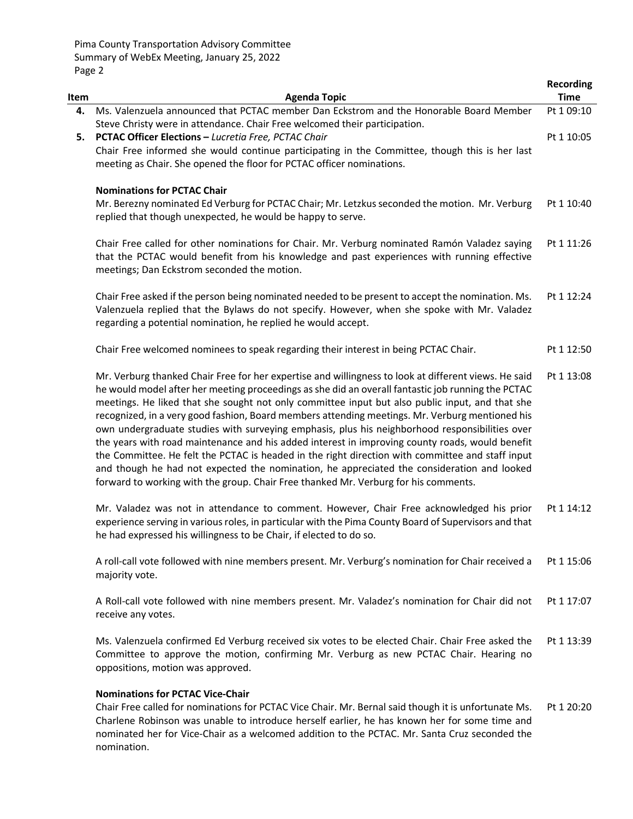|      |                                                                                                       | <b>Recording</b> |
|------|-------------------------------------------------------------------------------------------------------|------------------|
| Item | <b>Agenda Topic</b>                                                                                   | <b>Time</b>      |
| 4.   | Ms. Valenzuela announced that PCTAC member Dan Eckstrom and the Honorable Board Member                | Pt 1 09:10       |
|      | Steve Christy were in attendance. Chair Free welcomed their participation.                            |                  |
| 5.   | <b>PCTAC Officer Elections - Lucretia Free, PCTAC Chair</b>                                           | Pt 1 10:05       |
|      | Chair Free informed she would continue participating in the Committee, though this is her last        |                  |
|      | meeting as Chair. She opened the floor for PCTAC officer nominations.                                 |                  |
|      | <b>Nominations for PCTAC Chair</b>                                                                    |                  |
|      | Mr. Berezny nominated Ed Verburg for PCTAC Chair; Mr. Letzkus seconded the motion. Mr. Verburg        | Pt 1 10:40       |
|      | replied that though unexpected, he would be happy to serve.                                           |                  |
|      | Chair Free called for other nominations for Chair. Mr. Verburg nominated Ramón Valadez saying         | Pt 1 11:26       |
|      | that the PCTAC would benefit from his knowledge and past experiences with running effective           |                  |
|      | meetings; Dan Eckstrom seconded the motion.                                                           |                  |
|      | Chair Free asked if the person being nominated needed to be present to accept the nomination. Ms.     | Pt 1 12:24       |
|      | Valenzuela replied that the Bylaws do not specify. However, when she spoke with Mr. Valadez           |                  |
|      | regarding a potential nomination, he replied he would accept.                                         |                  |
|      |                                                                                                       |                  |
|      | Chair Free welcomed nominees to speak regarding their interest in being PCTAC Chair.                  | Pt 1 12:50       |
|      | Mr. Verburg thanked Chair Free for her expertise and willingness to look at different views. He said  | Pt 1 13:08       |
|      | he would model after her meeting proceedings as she did an overall fantastic job running the PCTAC    |                  |
|      | meetings. He liked that she sought not only committee input but also public input, and that she       |                  |
|      | recognized, in a very good fashion, Board members attending meetings. Mr. Verburg mentioned his       |                  |
|      | own undergraduate studies with surveying emphasis, plus his neighborhood responsibilities over        |                  |
|      | the years with road maintenance and his added interest in improving county roads, would benefit       |                  |
|      | the Committee. He felt the PCTAC is headed in the right direction with committee and staff input      |                  |
|      | and though he had not expected the nomination, he appreciated the consideration and looked            |                  |
|      | forward to working with the group. Chair Free thanked Mr. Verburg for his comments.                   |                  |
|      | Mr. Valadez was not in attendance to comment. However, Chair Free acknowledged his prior              | Pt 1 14:12       |
|      | experience serving in various roles, in particular with the Pima County Board of Supervisors and that |                  |
|      | he had expressed his willingness to be Chair, if elected to do so.                                    |                  |
|      | A roll-call vote followed with nine members present. Mr. Verburg's nomination for Chair received a    | Pt 1 15:06       |
|      | majority vote.                                                                                        |                  |
|      | A Roll-call vote followed with nine members present. Mr. Valadez's nomination for Chair did not       | Pt 1 17:07       |
|      |                                                                                                       |                  |

receive any votes. Ms. Valenzuela confirmed Ed Verburg received six votes to be elected Chair. Chair Free asked the Committee to approve the motion, confirming Mr. Verburg as new PCTAC Chair. Hearing no Pt 1 13:39

## **Nominations for PCTAC Vice-Chair**

oppositions, motion was approved.

Chair Free called for nominations for PCTAC Vice Chair. Mr. Bernal said though it is unfortunate Ms. Charlene Robinson was unable to introduce herself earlier, he has known her for some time and nominated her for Vice-Chair as a welcomed addition to the PCTAC. Mr. Santa Cruz seconded the nomination. Pt 1 20:20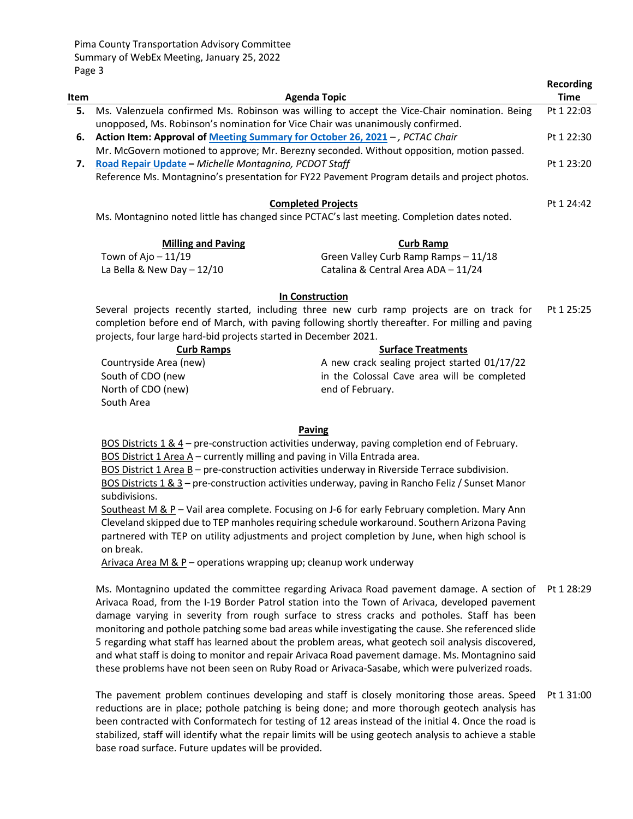Pima County Transportation Advisory Committee Summary of WebEx Meeting, January 25, 2022 Page 3

|                                                                                             |                                                                                               | <b>Recording</b> |  |
|---------------------------------------------------------------------------------------------|-----------------------------------------------------------------------------------------------|------------------|--|
| Item                                                                                        | Agenda Topic                                                                                  | Time             |  |
| 5.                                                                                          | Ms. Valenzuela confirmed Ms. Robinson was willing to accept the Vice-Chair nomination. Being  | Pt 1 22:03       |  |
|                                                                                             | unopposed, Ms. Robinson's nomination for Vice Chair was unanimously confirmed.                |                  |  |
| 6.                                                                                          | Action Item: Approval of Meeting Summary for October 26, 2021 -, PCTAC Chair                  | Pt 1 22:30       |  |
|                                                                                             | Mr. McGovern motioned to approve; Mr. Berezny seconded. Without opposition, motion passed.    |                  |  |
| 7.                                                                                          | Road Repair Update - Michelle Montagnino, PCDOT Staff                                         | Pt 1 23:20       |  |
|                                                                                             | Reference Ms. Montagnino's presentation for FY22 Pavement Program details and project photos. |                  |  |
|                                                                                             |                                                                                               |                  |  |
|                                                                                             | <b>Completed Projects</b>                                                                     | Pt 1 24:42       |  |
| Ms. Montagnino noted little has changed since PCTAC's last meeting. Completion dates noted. |                                                                                               |                  |  |
|                                                                                             | <b>Milling and Paving</b><br><b>Curb Ramp</b>                                                 |                  |  |
|                                                                                             | Town of Ajo $-11/19$<br>Green Valley Curb Ramp Ramps - 11/18                                  |                  |  |
|                                                                                             | La Bella & New Day $-12/10$<br>Catalina & Central Area ADA - 11/24                            |                  |  |
|                                                                                             | <b>In Construction</b>                                                                        |                  |  |
|                                                                                             | Several projects recently started, including three new curb ramp projects are on track for    | Pt 1 25:25       |  |

Several projects recently started, including three new curb ramp projects are on track for completion before end of March, with paving following shortly thereafter. For milling and paving projects, four large hard-bid projects started in December 2021. Pt 1 25:25

| <b>Curb Ramps</b>      | <b>Surface Treatments</b>                    |
|------------------------|----------------------------------------------|
| Countryside Area (new) | A new crack sealing project started 01/17/22 |
| South of CDO (new      | in the Colossal Cave area will be completed  |
| North of CDO (new)     | end of February.                             |
| South Area             |                                              |

## **Paving**

BOS Districts 1 & 4 – pre-construction activities underway, paving completion end of February. BOS District 1 Area A – currently milling and paving in Villa Entrada area.

BOS District 1 Area B – pre-construction activities underway in Riverside Terrace subdivision. BOS Districts 1 & 3 – pre-construction activities underway, paving in Rancho Feliz / Sunset Manor subdivisions.

Southeast M & P - Vail area complete. Focusing on J-6 for early February completion. Mary Ann Cleveland skipped due to TEP manholes requiring schedule workaround. Southern Arizona Paving partnered with TEP on utility adjustments and project completion by June, when high school is on break.

Arivaca Area M & P – operations wrapping up; cleanup work underway

Ms. Montagnino updated the committee regarding Arivaca Road pavement damage. A section of Pt 1 28:29 Arivaca Road, from the I-19 Border Patrol station into the Town of Arivaca, developed pavement damage varying in severity from rough surface to stress cracks and potholes. Staff has been monitoring and pothole patching some bad areas while investigating the cause. She referenced slide 5 regarding what staff has learned about the problem areas, what geotech soil analysis discovered, and what staff is doing to monitor and repair Arivaca Road pavement damage. Ms. Montagnino said these problems have not been seen on Ruby Road or Arivaca-Sasabe, which were pulverized roads.

The pavement problem continues developing and staff is closely monitoring those areas. Speed Pt 1 31:00reductions are in place; pothole patching is being done; and more thorough geotech analysis has been contracted with Conformatech for testing of 12 areas instead of the initial 4. Once the road is stabilized, staff will identify what the repair limits will be using geotech analysis to achieve a stable base road surface. Future updates will be provided.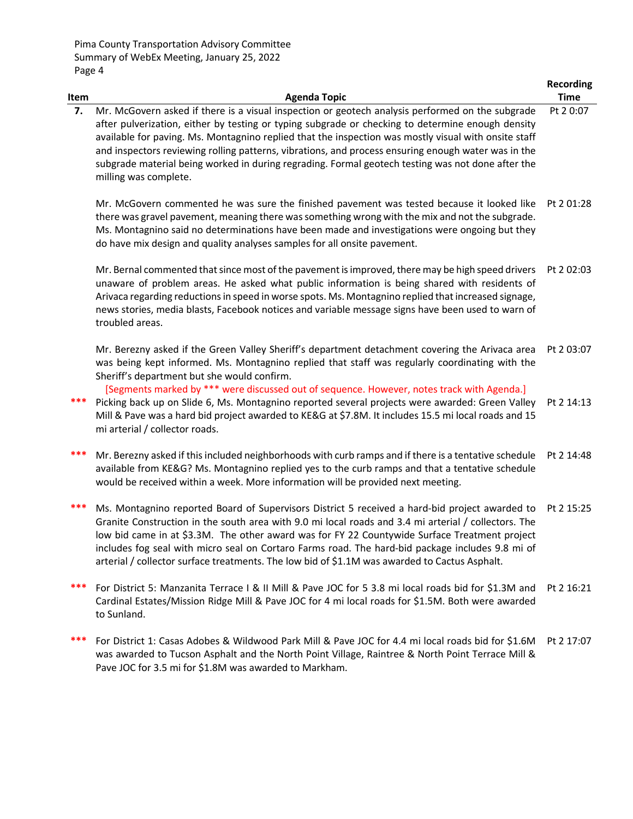Pima County Transportation Advisory Committee Summary of WebEx Meeting, January 25, 2022 Page 4

| Item | <b>Agenda Topic</b>                                                                                                                                                                                                                                                                                                                                                                                                                                                                                                                                | <b>Recording</b><br><b>Time</b> |
|------|----------------------------------------------------------------------------------------------------------------------------------------------------------------------------------------------------------------------------------------------------------------------------------------------------------------------------------------------------------------------------------------------------------------------------------------------------------------------------------------------------------------------------------------------------|---------------------------------|
| 7.   | Mr. McGovern asked if there is a visual inspection or geotech analysis performed on the subgrade<br>after pulverization, either by testing or typing subgrade or checking to determine enough density<br>available for paving. Ms. Montagnino replied that the inspection was mostly visual with onsite staff<br>and inspectors reviewing rolling patterns, vibrations, and process ensuring enough water was in the<br>subgrade material being worked in during regrading. Formal geotech testing was not done after the<br>milling was complete. | Pt 2 0:07                       |
|      | Mr. McGovern commented he was sure the finished pavement was tested because it looked like<br>there was gravel pavement, meaning there was something wrong with the mix and not the subgrade.<br>Ms. Montagnino said no determinations have been made and investigations were ongoing but they<br>do have mix design and quality analyses samples for all onsite pavement.                                                                                                                                                                         | Pt 2 01:28                      |
|      | Mr. Bernal commented that since most of the pavement is improved, there may be high speed drivers<br>unaware of problem areas. He asked what public information is being shared with residents of<br>Arivaca regarding reductions in speed in worse spots. Ms. Montagnino replied that increased signage,<br>news stories, media blasts, Facebook notices and variable message signs have been used to warn of<br>troubled areas.                                                                                                                  | Pt 2 02:03                      |
|      | Mr. Berezny asked if the Green Valley Sheriff's department detachment covering the Arivaca area<br>was being kept informed. Ms. Montagnino replied that staff was regularly coordinating with the<br>Sheriff's department but she would confirm.                                                                                                                                                                                                                                                                                                   | Pt 2 03:07                      |
|      | [Segments marked by *** were discussed out of sequence. However, notes track with Agenda.]<br>Picking back up on Slide 6, Ms. Montagnino reported several projects were awarded: Green Valley<br>Mill & Pave was a hard bid project awarded to KE&G at \$7.8M. It includes 15.5 mi local roads and 15<br>mi arterial / collector roads.                                                                                                                                                                                                            | Pt 2 14:13                      |
| ***  | Mr. Berezny asked if this included neighborhoods with curb ramps and if there is a tentative schedule<br>available from KE&G? Ms. Montagnino replied yes to the curb ramps and that a tentative schedule<br>would be received within a week. More information will be provided next meeting.                                                                                                                                                                                                                                                       | Pt 2 14:48                      |
| ***  | Ms. Montagnino reported Board of Supervisors District 5 received a hard-bid project awarded to<br>Granite Construction in the south area with 9.0 mi local roads and 3.4 mi arterial / collectors. The<br>low bid came in at \$3.3M. The other award was for FY 22 Countywide Surface Treatment project<br>includes fog seal with micro seal on Cortaro Farms road. The hard-bid package includes 9.8 mi of<br>arterial / collector surface treatments. The low bid of \$1.1M was awarded to Cactus Asphalt.                                       | Pt 2 15:25                      |
| ***  | For District 5: Manzanita Terrace I & II Mill & Pave JOC for 5 3.8 mi local roads bid for \$1.3M and<br>Cardinal Estates/Mission Ridge Mill & Pave JOC for 4 mi local roads for \$1.5M. Both were awarded<br>to Sunland.                                                                                                                                                                                                                                                                                                                           | Pt 2 16:21                      |
| ***  | For District 1: Casas Adobes & Wildwood Park Mill & Pave JOC for 4.4 mi local roads bid for \$1.6M<br>was awarded to Tucson Asphalt and the North Point Village, Raintree & North Point Terrace Mill &<br>Pave JOC for 3.5 mi for \$1.8M was awarded to Markham.                                                                                                                                                                                                                                                                                   | Pt 2 17:07                      |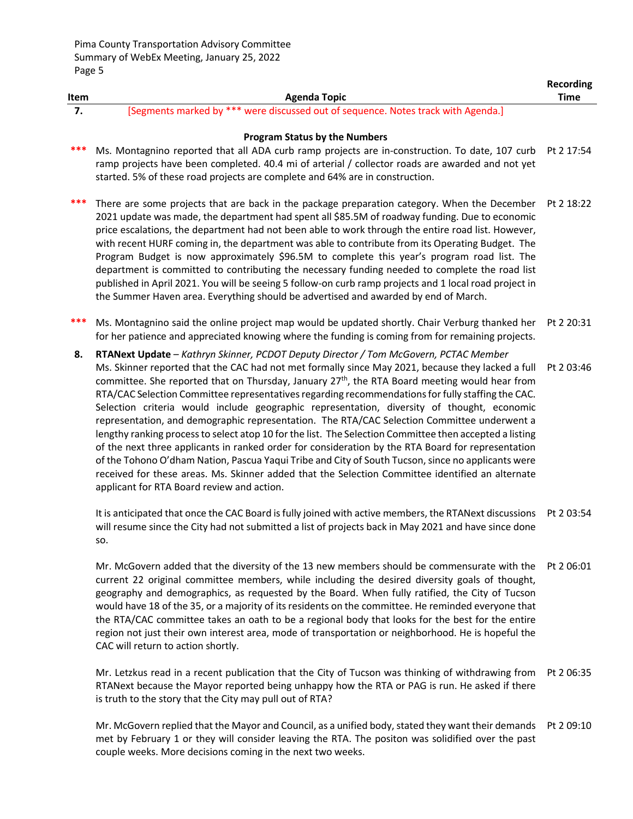Pima County Transportation Advisory Committee Summary of WebEx Meeting, January 25, 2022 Page 5

| Item | <b>Agenda Topic</b>                                                                                                                                                                                                                                                                                                                                                                                                                                                                                                                                                                                                                                                                                                                                                                                                                                                                                                                                                                                                                                                                | <b>Recording</b><br><b>Time</b> |
|------|------------------------------------------------------------------------------------------------------------------------------------------------------------------------------------------------------------------------------------------------------------------------------------------------------------------------------------------------------------------------------------------------------------------------------------------------------------------------------------------------------------------------------------------------------------------------------------------------------------------------------------------------------------------------------------------------------------------------------------------------------------------------------------------------------------------------------------------------------------------------------------------------------------------------------------------------------------------------------------------------------------------------------------------------------------------------------------|---------------------------------|
| 7.   | [Segments marked by *** were discussed out of sequence. Notes track with Agenda.]                                                                                                                                                                                                                                                                                                                                                                                                                                                                                                                                                                                                                                                                                                                                                                                                                                                                                                                                                                                                  |                                 |
|      | <b>Program Status by the Numbers</b>                                                                                                                                                                                                                                                                                                                                                                                                                                                                                                                                                                                                                                                                                                                                                                                                                                                                                                                                                                                                                                               |                                 |
| ***  | Ms. Montagnino reported that all ADA curb ramp projects are in-construction. To date, 107 curb<br>ramp projects have been completed. 40.4 mi of arterial / collector roads are awarded and not yet<br>started. 5% of these road projects are complete and 64% are in construction.                                                                                                                                                                                                                                                                                                                                                                                                                                                                                                                                                                                                                                                                                                                                                                                                 | Pt 2 17:54                      |
| ***  | There are some projects that are back in the package preparation category. When the December<br>2021 update was made, the department had spent all \$85.5M of roadway funding. Due to economic<br>price escalations, the department had not been able to work through the entire road list. However,<br>with recent HURF coming in, the department was able to contribute from its Operating Budget. The<br>Program Budget is now approximately \$96.5M to complete this year's program road list. The<br>department is committed to contributing the necessary funding needed to complete the road list<br>published in April 2021. You will be seeing 5 follow-on curb ramp projects and 1 local road project in<br>the Summer Haven area. Everything should be advertised and awarded by end of March.                                                                                                                                                                                                                                                                          | Pt 2 18:22                      |
| ***  | Ms. Montagnino said the online project map would be updated shortly. Chair Verburg thanked her<br>for her patience and appreciated knowing where the funding is coming from for remaining projects.                                                                                                                                                                                                                                                                                                                                                                                                                                                                                                                                                                                                                                                                                                                                                                                                                                                                                | Pt 2 20:31                      |
| 8.   | RTANext Update - Kathryn Skinner, PCDOT Deputy Director / Tom McGovern, PCTAC Member<br>Ms. Skinner reported that the CAC had not met formally since May 2021, because they lacked a full<br>committee. She reported that on Thursday, January 27 <sup>th</sup> , the RTA Board meeting would hear from<br>RTA/CAC Selection Committee representatives regarding recommendations for fully staffing the CAC.<br>Selection criteria would include geographic representation, diversity of thought, economic<br>representation, and demographic representation. The RTA/CAC Selection Committee underwent a<br>lengthy ranking process to select atop 10 for the list. The Selection Committee then accepted a listing<br>of the next three applicants in ranked order for consideration by the RTA Board for representation<br>of the Tohono O'dham Nation, Pascua Yaqui Tribe and City of South Tucson, since no applicants were<br>received for these areas. Ms. Skinner added that the Selection Committee identified an alternate<br>applicant for RTA Board review and action. | Pt 2 03:46                      |
|      | It is anticipated that once the CAC Board is fully joined with active members, the RTANext discussions<br>will resume since the City had not submitted a list of projects back in May 2021 and have since done<br>SO.                                                                                                                                                                                                                                                                                                                                                                                                                                                                                                                                                                                                                                                                                                                                                                                                                                                              | Pt 2 03:54                      |
|      | Mr. McGovern added that the diversity of the 13 new members should be commensurate with the                                                                                                                                                                                                                                                                                                                                                                                                                                                                                                                                                                                                                                                                                                                                                                                                                                                                                                                                                                                        | Pt 2 06:01                      |

current 22 original committee members, while including the desired diversity goals of thought, geography and demographics, as requested by the Board. When fully ratified, the City of Tucson would have 18 of the 35, or a majority of its residents on the committee. He reminded everyone that the RTA/CAC committee takes an oath to be a regional body that looks for the best for the entire region not just their own interest area, mode of transportation or neighborhood. He is hopeful the CAC will return to action shortly.

Mr. Letzkus read in a recent publication that the City of Tucson was thinking of withdrawing from Pt 2 06:35 RTANext because the Mayor reported being unhappy how the RTA or PAG is run. He asked if there is truth to the story that the City may pull out of RTA?

Mr. McGovern replied that the Mayor and Council, as a unified body, stated they want their demands Pt 2 09:10met by February 1 or they will consider leaving the RTA. The positon was solidified over the past couple weeks. More decisions coming in the next two weeks.